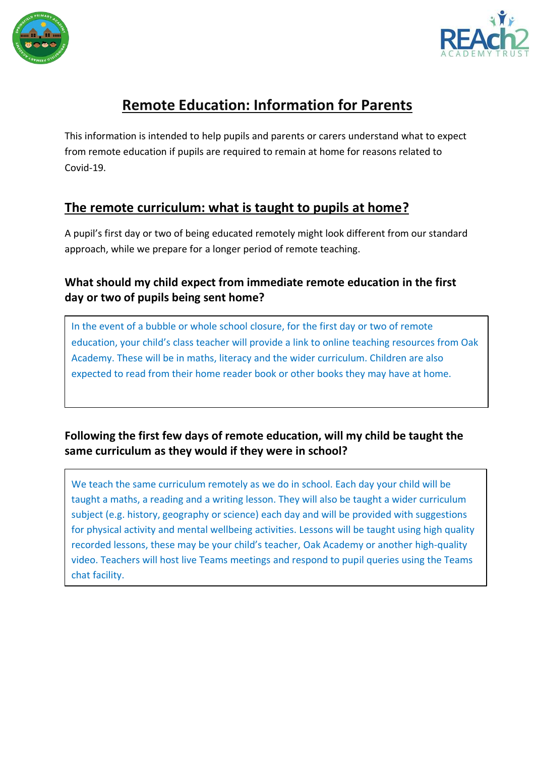



# **Remote Education: Information for Parents**

This information is intended to help pupils and parents or carers understand what to expect from remote education if pupils are required to remain at home for reasons related to Covid-19.

# **The remote curriculum: what is taught to pupils at home?**

A pupil's first day or two of being educated remotely might look different from our standard approach, while we prepare for a longer period of remote teaching.

### **What should my child expect from immediate remote education in the first day or two of pupils being sent home?**

In the event of a bubble or whole school closure, for the first day or two of remote education, your child's class teacher will provide a link to online teaching resources from Oak Academy. These will be in maths, literacy and the wider curriculum. Children are also expected to read from their home reader book or other books they may have at home.

## **Following the first few days of remote education, will my child be taught the same curriculum as they would if they were in school?**

We teach the same curriculum remotely as we do in school. Each day your child will be taught a maths, a reading and a writing lesson. They will also be taught a wider curriculum subject (e.g. history, geography or science) each day and will be provided with suggestions for physical activity and mental wellbeing activities. Lessons will be taught using high quality recorded lessons, these may be your child's teacher, Oak Academy or another high-quality video. Teachers will host live Teams meetings and respond to pupil queries using the Teams chat facility.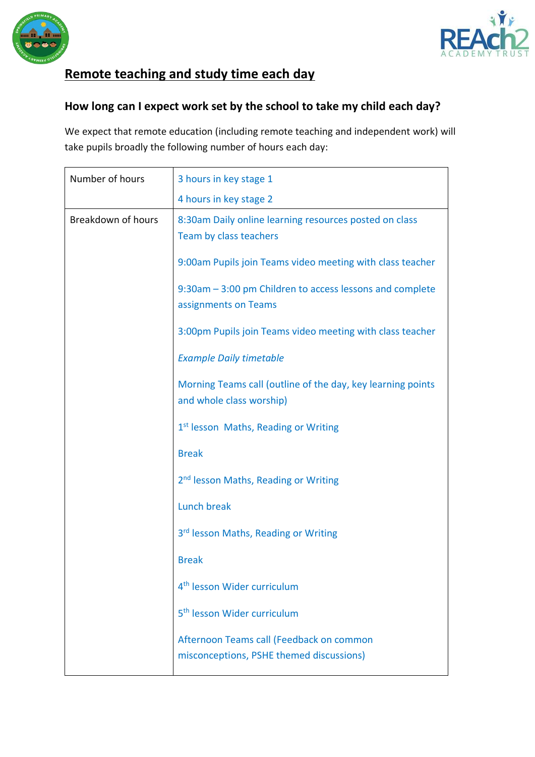



# **Remote teaching and study time each day**

### **How long can I expect work set by the school to take my child each day?**

We expect that remote education (including remote teaching and independent work) will take pupils broadly the following number of hours each day:

| Number of hours    | 3 hours in key stage 1                                                                  |
|--------------------|-----------------------------------------------------------------------------------------|
|                    | 4 hours in key stage 2                                                                  |
| Breakdown of hours | 8:30am Daily online learning resources posted on class<br>Team by class teachers        |
|                    | 9:00am Pupils join Teams video meeting with class teacher                               |
|                    | 9:30am – 3:00 pm Children to access lessons and complete<br>assignments on Teams        |
|                    | 3:00pm Pupils join Teams video meeting with class teacher                               |
|                    | <b>Example Daily timetable</b>                                                          |
|                    | Morning Teams call (outline of the day, key learning points<br>and whole class worship) |
|                    | 1 <sup>st</sup> lesson Maths, Reading or Writing                                        |
|                    | <b>Break</b>                                                                            |
|                    | 2 <sup>nd</sup> lesson Maths, Reading or Writing                                        |
|                    | <b>Lunch break</b>                                                                      |
|                    | 3 <sup>rd</sup> lesson Maths, Reading or Writing                                        |
|                    | <b>Break</b>                                                                            |
|                    | 4 <sup>th</sup> lesson Wider curriculum                                                 |
|                    | 5 <sup>th</sup> lesson Wider curriculum                                                 |
|                    | Afternoon Teams call (Feedback on common<br>misconceptions, PSHE themed discussions)    |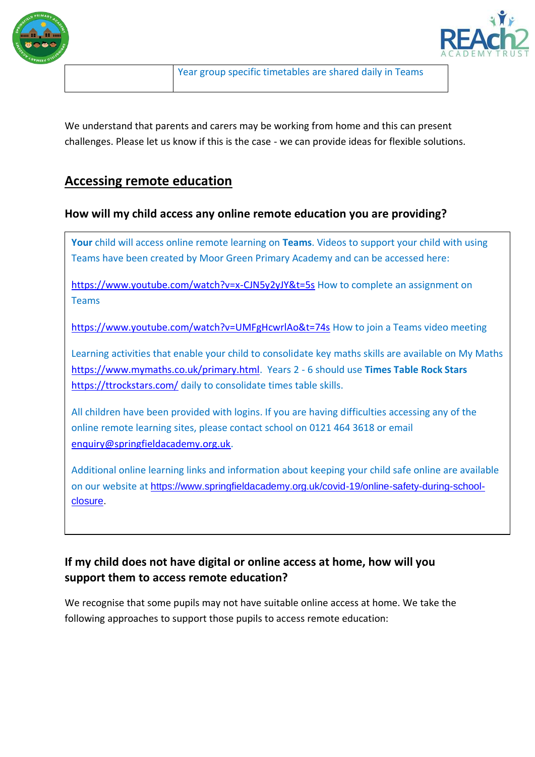



We understand that parents and carers may be working from home and this can present challenges. Please let us know if this is the case - we can provide ideas for flexible solutions.

### **Accessing remote education**

### **How will my child access any online remote education you are providing?**

**Your** child will access online remote learning on **Teams**. Videos to support your child with using Teams have been created by Moor Green Primary Academy and can be accessed here:

<https://www.youtube.com/watch?v=x-CJN5y2yJY&t=5s> How to complete an assignment on Teams

<https://www.youtube.com/watch?v=UMFgHcwrlAo&t=74s> How to join a Teams video meeting

Learning activities that enable your child to consolidate key maths skills are available on My Maths [https://www.mymaths.co.uk/primary.html.](https://www.mymaths.co.uk/primary.html) Years 2 - 6 should use **Times Table Rock Stars** <https://ttrockstars.com/> daily to consolidate times table skills.

All children have been provided with logins. If you are having difficulties accessing any of the online remote learning sites, please contact school on 0121 464 3618 or email [enquiry@springfieldacademy.org.uk.](mailto:enquiry@springfieldacademy.org.uk)

Additional online learning links and information about keeping your child safe online are available on our website at [https://www.springfieldacademy.org.uk/covid-19/online-safety-during-school](https://www.springfieldacademy.org.uk/covid-19/online-safety-during-school-closure)[closure.](https://www.springfieldacademy.org.uk/covid-19/online-safety-during-school-closure)

### **If my child does not have digital or online access at home, how will you support them to access remote education?**

We recognise that some pupils may not have suitable online access at home. We take the following approaches to support those pupils to access remote education: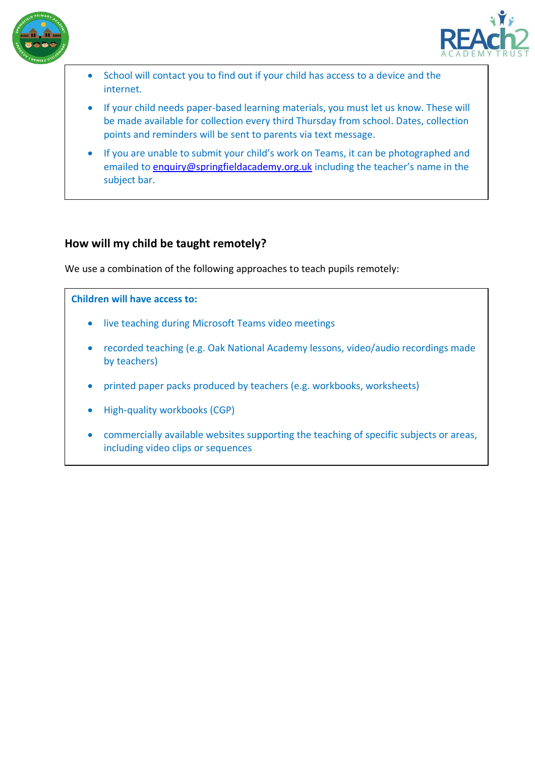



- School will contact you to find out if your child has access to a device and the internet.
- If your child needs paper-based learning materials, you must let us know. These will be made available for collection every third Thursday from school. Dates, collection points and reminders will be sent to parents via text message.
- If you are unable to submit your child's work on Teams, it can be photographed and emailed to [enquiry@springfieldacademy.org.uk](mailto:enquiry@springfieldacademy.org.uk) including the teacher's name in the subject bar.

### **How will my child be taught remotely?**

We use a combination of the following approaches to teach pupils remotely:

#### **Children will have access to:**

- live teaching during Microsoft Teams video meetings
- recorded teaching (e.g. Oak National Academy lessons, video/audio recordings made by teachers)
- printed paper packs produced by teachers (e.g. workbooks, worksheets)
- High-quality workbooks (CGP)
- commercially available websites supporting the teaching of specific subjects or areas, including video clips or sequences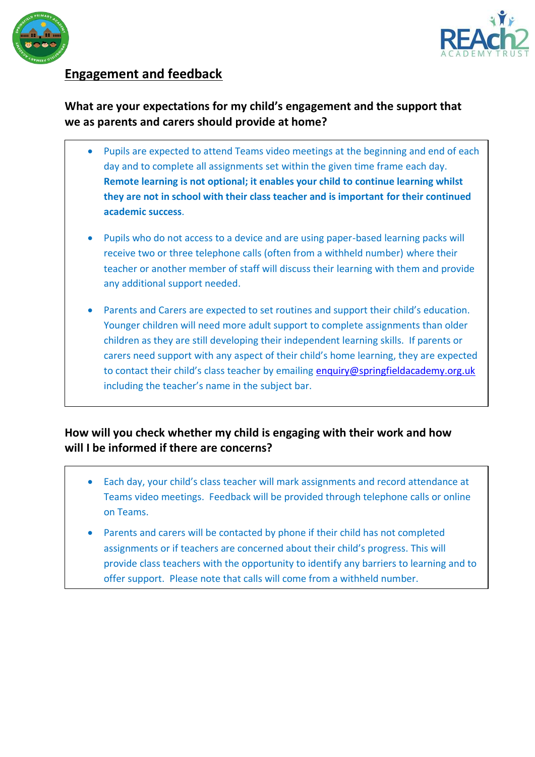



# **Engagement and feedback**

### **What are your expectations for my child's engagement and the support that we as parents and carers should provide at home?**

- Pupils are expected to attend Teams video meetings at the beginning and end of each day and to complete all assignments set within the given time frame each day. **Remote learning is not optional; it enables your child to continue learning whilst they are not in school with their class teacher and is important for their continued academic success**.
- Pupils who do not access to a device and are using paper-based learning packs will receive two or three telephone calls (often from a withheld number) where their teacher or another member of staff will discuss their learning with them and provide any additional support needed.
- Parents and Carers are expected to set routines and support their child's education. Younger children will need more adult support to complete assignments than older children as they are still developing their independent learning skills. If parents or carers need support with any aspect of their child's home learning, they are expected to contact their child's class teacher by emailing [enquiry@springfieldacademy.org.uk](mailto:enquiry@springfieldacademy.org.uk) including the teacher's name in the subject bar.

### **How will you check whether my child is engaging with their work and how will I be informed if there are concerns?**

- Each day, your child's class teacher will mark assignments and record attendance at Teams video meetings. Feedback will be provided through telephone calls or online on Teams.
- Parents and carers will be contacted by phone if their child has not completed assignments or if teachers are concerned about their child's progress. This will provide class teachers with the opportunity to identify any barriers to learning and to offer support. Please note that calls will come from a withheld number.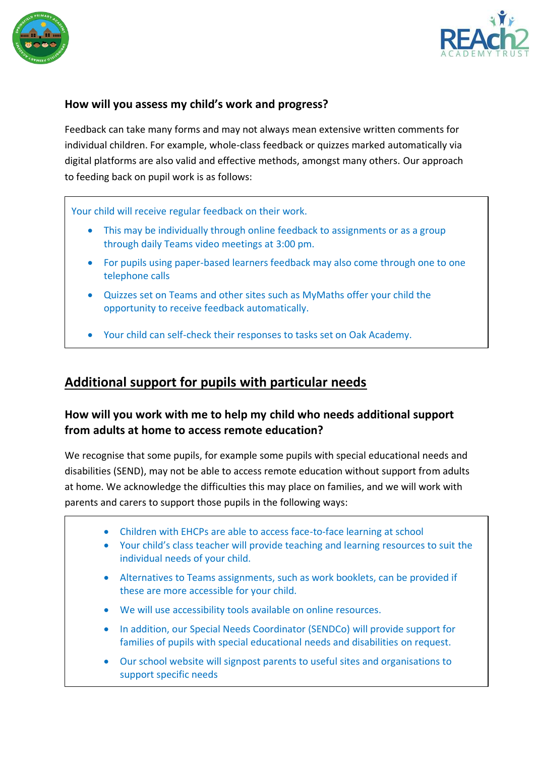



### **How will you assess my child's work and progress?**

Feedback can take many forms and may not always mean extensive written comments for individual children. For example, whole-class feedback or quizzes marked automatically via digital platforms are also valid and effective methods, amongst many others. Our approach to feeding back on pupil work is as follows:

Your child will receive regular feedback on their work.

- This may be individually through online feedback to assignments or as a group through daily Teams video meetings at 3:00 pm.
- For pupils using paper-based learners feedback may also come through one to one telephone calls
- Quizzes set on Teams and other sites such as MyMaths offer your child the opportunity to receive feedback automatically.
- Your child can self-check their responses to tasks set on Oak Academy.

### **Additional support for pupils with particular needs**

### **How will you work with me to help my child who needs additional support from adults at home to access remote education?**

We recognise that some pupils, for example some pupils with special educational needs and disabilities (SEND), may not be able to access remote education without support from adults at home. We acknowledge the difficulties this may place on families, and we will work with parents and carers to support those pupils in the following ways:

- Children with EHCPs are able to access face-to-face learning at school
- Your child's class teacher will provide teaching and learning resources to suit the individual needs of your child.
- Alternatives to Teams assignments, such as work booklets, can be provided if these are more accessible for your child.
- We will use accessibility tools available on online resources.
- In addition, our Special Needs Coordinator (SENDCo) will provide support for families of pupils with special educational needs and disabilities on request.
- Our school website will signpost parents to useful sites and organisations to support specific needs